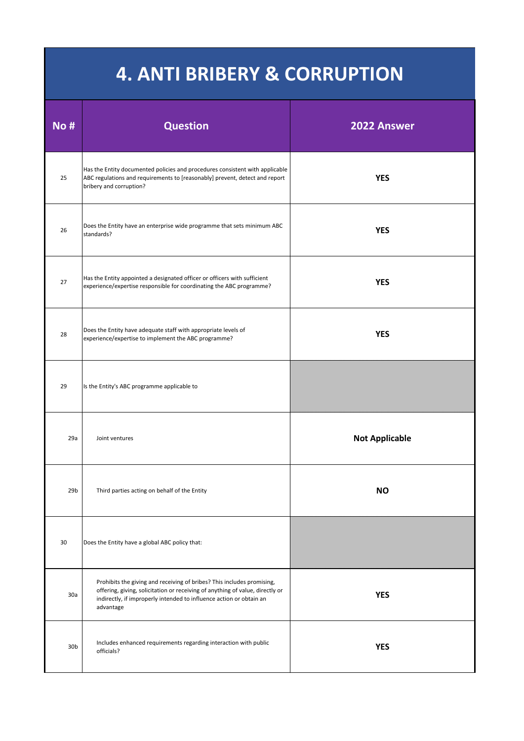| <b>No #</b>     | <b>Question</b>                                                                                                                                                                                                                             | 2022 Answer           |
|-----------------|---------------------------------------------------------------------------------------------------------------------------------------------------------------------------------------------------------------------------------------------|-----------------------|
| 25              | Has the Entity documented policies and procedures consistent with applicable<br>ABC regulations and requirements to [reasonably] prevent, detect and report<br>bribery and corruption?                                                      | <b>YES</b>            |
| 26              | Does the Entity have an enterprise wide programme that sets minimum ABC<br>standards?                                                                                                                                                       | <b>YES</b>            |
| 27              | Has the Entity appointed a designated officer or officers with sufficient<br>experience/expertise responsible for coordinating the ABC programme?                                                                                           | <b>YES</b>            |
| 28              | Does the Entity have adequate staff with appropriate levels of<br>experience/expertise to implement the ABC programme?                                                                                                                      | <b>YES</b>            |
| 29              | Is the Entity's ABC programme applicable to                                                                                                                                                                                                 |                       |
| 29a             | Joint ventures                                                                                                                                                                                                                              | <b>Not Applicable</b> |
| 29 <sub>b</sub> | Third parties acting on behalf of the Entity                                                                                                                                                                                                | <b>NO</b>             |
| 30              | Does the Entity have a global ABC policy that:                                                                                                                                                                                              |                       |
| 30a             | Prohibits the giving and receiving of bribes? This includes promising,<br>offering, giving, solicitation or receiving of anything of value, directly or<br>indirectly, if improperly intended to influence action or obtain an<br>advantage | <b>YES</b>            |
| 30 <sub>b</sub> | Includes enhanced requirements regarding interaction with public<br>officials?                                                                                                                                                              | <b>YES</b>            |

## **4. ANTI BRIBERY & CORRUPTION**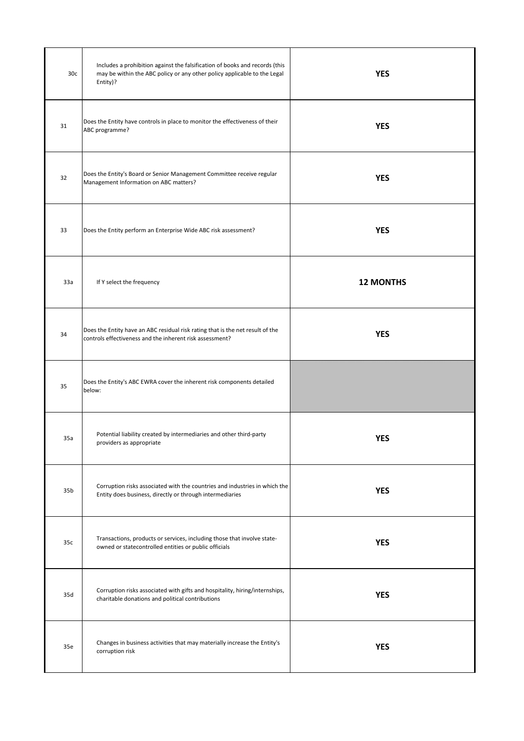| 30 <sub>c</sub> | Includes a prohibition against the falsification of books and records (this<br>may be within the ABC policy or any other policy applicable to the Legal<br>Entity)? | <b>YES</b>       |
|-----------------|---------------------------------------------------------------------------------------------------------------------------------------------------------------------|------------------|
| 31              | Does the Entity have controls in place to monitor the effectiveness of their<br>ABC programme?                                                                      | <b>YES</b>       |
| 32              | Does the Entity's Board or Senior Management Committee receive regular<br>Management Information on ABC matters?                                                    | <b>YES</b>       |
| 33              | Does the Entity perform an Enterprise Wide ABC risk assessment?                                                                                                     | <b>YES</b>       |
| 33a             | If Y select the frequency                                                                                                                                           | <b>12 MONTHS</b> |
| 34              | Does the Entity have an ABC residual risk rating that is the net result of the<br>controls effectiveness and the inherent risk assessment?                          | <b>YES</b>       |
| 35              | Does the Entity's ABC EWRA cover the inherent risk components detailed<br>below:                                                                                    |                  |
| 35a             | Potential liability created by intermediaries and other third-party<br>providers as appropriate                                                                     | <b>YES</b>       |
| 35 <sub>b</sub> | Corruption risks associated with the countries and industries in which the<br>Entity does business, directly or through intermediaries                              | <b>YES</b>       |
|                 |                                                                                                                                                                     |                  |

| 35c | Transactions, products or services, including those that involve state-<br>owned or statecontrolled entities or public officials | <b>YES</b> |
|-----|----------------------------------------------------------------------------------------------------------------------------------|------------|
| 35d | Corruption risks associated with gifts and hospitality, hiring/internships,<br>charitable donations and political contributions  | <b>YES</b> |
| 35e | Changes in business activities that may materially increase the Entity's<br>corruption risk                                      | <b>YES</b> |